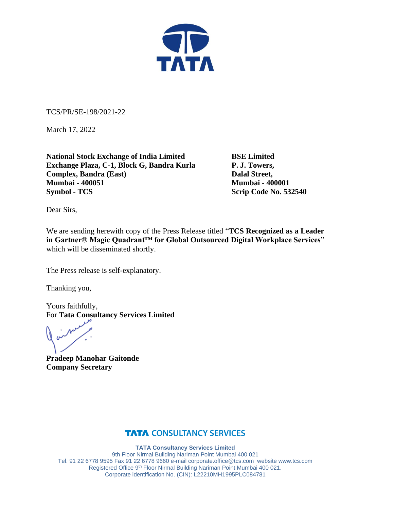

TCS/PR/SE-198/2021-22

March 17, 2022

**National Stock Exchange of India Limited BSE Limited Exchange Plaza, C-1, Block G, Bandra Kurla P. J. Towers, Complex, Bandra (East)** Dalal Street, **Mumbai - 400051 Mumbai - 400001 Symbol - TCS** Scrip Code No. 532540

Dear Sirs,

We are sending herewith copy of the Press Release titled "**TCS Recognized as a Leader in Gartner® Magic Quadrant™ for Global Outsourced Digital Workplace Services**" which will be disseminated shortly.

The Press release is self-explanatory.

Thanking you,

Yours faithfully, For **Tata Consultancy Services Limited**

**Pradeep Manohar Gaitonde Company Secretary**

# **TATA CONSULTANCY SERVICES**

**TATA Consultancy Services Limited** 9th Floor Nirmal Building Nariman Point Mumbai 400 021 Tel. 91 22 6778 9595 Fax 91 22 6778 9660 e-mai[l corporate.office@tcs.com](mailto:corporate.office@tcs.com) website www.tcs.com Registered Office 9th Floor Nirmal Building Nariman Point Mumbai 400 021. Corporate identification No. (CIN): L22210MH1995PLC084781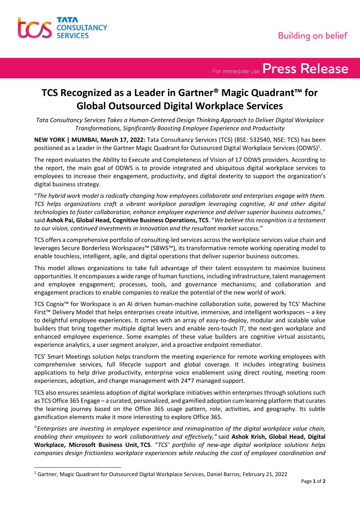

For immediate use Press Release

# **TCS Recognized as a Leader in Gartner® Magic Quadrant™ for Global Outsourced Digital Workplace Services**

*Tata Consultancy Services Takes a Human-Centered Design Thinking Approach to Deliver Digital Workplace Transformations, Significantly Boosting Employee Experience and Productivity*

**NEW YORK | MUMBAI, March 17, 2022:** Tata Consultancy Services (TCS) (BSE: 532540, NSE: TCS) has been positioned as a Leader in the Gartner Magic Quadrant for Outsourced Digital Workplace Services (ODWS) $^1$ .

The report evaluates the Ability to Execute and Completeness of Vision of 17 ODWS providers. According to the report, the main goal of ODWS is to provide integrated and ubiquitous digital workplace services to employees to increase their engagement, productivity, and digital dexterity to support the organization's digital business strategy.

"*The hybrid work model is radically changing how employees collaborate and enterprises engage with them. TCS helps organizations craft a vibrant workplace paradigm leveraging cognitive, AI and other digital technologies to foster collaboration, enhance employee experience and deliver superior business outcomes*," said **Ashok Pai, Global Head, Cognitive Business Operations, TCS**. "*We believe this recognition is a testament to our vision, continued investments in innovation and the resultant market success*."

TCS offers a comprehensive portfolio of consulting-led services across the workplace services value chain and leverages Secure Borderless Workspaces™ (SBWS™), its transformative remote working operating model to enable touchless, intelligent, agile, and digital operations that deliver superior business outcomes.

This model allows organizations to take full advantage of their talent ecosystem to maximize business opportunities. It encompasses a wide range of human functions, including infrastructure, talent management and employee engagement; processes, tools, and governance mechanisms; and collaboration and engagement practices to enable companies to realize the potential of the new world of work.

TCS Cognix™ for Workspace is an AI driven human-machine collaboration suite, powered by TCS' Machine First™ Delivery Model that helps enterprises create intuitive, immersive, and intelligent workspaces – a key to delightful employee experiences. It comes with an array of easy-to-deploy, modular and scalable value builders that bring together multiple digital levers and enable zero-touch IT, the next-gen workplace and enhanced employee experience. Some examples of these value builders are cognitive virtual assistants, experience analytics, a user segment analyzer, and a proactive endpoint remediator.

TCS' Smart Meetings solution helps transform the meeting experience for remote working employees with comprehensive services, full lifecycle support and global coverage. It includes integrating business applications to help drive productivity, enterprise voice enablement using direct routing, meeting room experiences, adoption, and change management with 24\*7 managed support.

TCS also ensures seamless adoption of digital workplace initiatives within enterprises through solutions such as TCS Office 365 Engage – a curated, personalized, and gamified adoption cum learning platform that curates the learning journey based on the Office 365 usage pattern, role, activities, and geography. Its subtle gamification elements make it more interesting to explore Office 365.

"*Enterprises are investing in employee experience and reimagination of the digital workplace value chain, enabling their employees to work collaboratively and effectively,"* said **Ashok Krish, Global Head, Digital Workplace, Microsoft Business Unit, TCS**. "*TCS' portfolio of new-age digital workplace solutions helps companies design frictionless workplace experiences while reducing the cost of employee coordination and* 

<sup>1</sup> Gartner, Magic Quadrant for Outsourced Digital Workplace Services, Daniel Barros, February 21, 2022